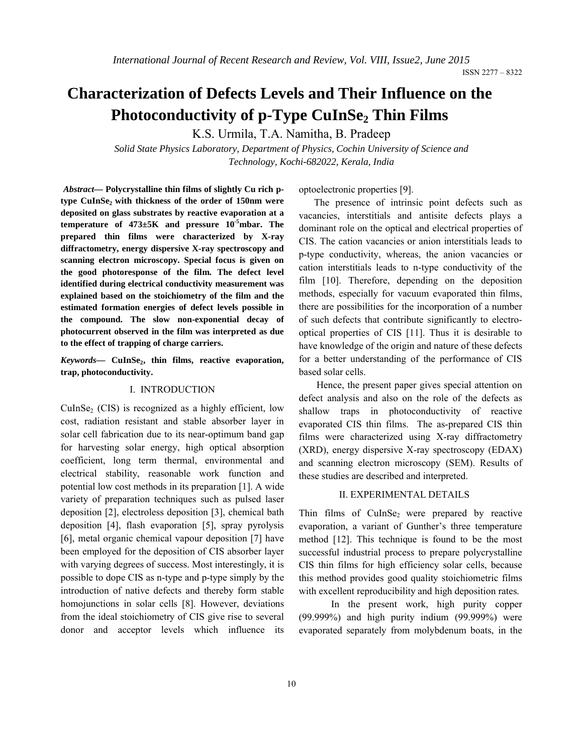# **Characterization of Defects Levels and Their Influence on the Photoconductivity of p-Type CuInSe<sub>2</sub> Thin Films**

K.S. Urmila, T.A. Namitha, B. Pradeep

*Solid State Physics Laboratory, Department of Physics, Cochin University of Science and Technology, Kochi-682022, Kerala, India*

*Abstract—* **Polycrystalline thin films of slightly Cu rich p**type CuInSe<sub>2</sub> with thickness of the order of 150nm were **deposited on glass substrates by reactive evaporation at a temperature of 473±5K and pressure 10-5mbar. The prepared thin films were characterized by X-ray diffractometry, energy dispersive X-ray spectroscopy and scanning electron microscopy. Special focus is given on the good photoresponse of the film. The defect level identified during electrical conductivity measurement was explained based on the stoichiometry of the film and the estimated formation energies of defect levels possible in the compound. The slow non-exponential decay of photocurrent observed in the film was interpreted as due to the effect of trapping of charge carriers.**

*Keywords—* **CuInSe2, thin films, reactive evaporation, trap, photoconductivity.** 

#### I. INTRODUCTION

 $CuInSe<sub>2</sub> (CIS)$  is recognized as a highly efficient, low cost, radiation resistant and stable absorber layer in solar cell fabrication due to its near-optimum band gap for harvesting solar energy, high optical absorption coefficient, long term thermal, environmental and electrical stability, reasonable work function and potential low cost methods in its preparation [1]. A wide variety of preparation techniques such as pulsed laser deposition [2], electroless deposition [3], chemical bath deposition [4], flash evaporation [5], spray pyrolysis [6], metal organic chemical vapour deposition [7] have been employed for the deposition of CIS absorber layer with varying degrees of success. Most interestingly, it is possible to dope CIS as n-type and p-type simply by the introduction of native defects and thereby form stable homojunctions in solar cells [8]. However, deviations from the ideal stoichiometry of CIS give rise to several donor and acceptor levels which influence its optoelectronic properties [9].

 The presence of intrinsic point defects such as vacancies, interstitials and antisite defects plays a dominant role on the optical and electrical properties of CIS. The cation vacancies or anion interstitials leads to p-type conductivity, whereas, the anion vacancies or cation interstitials leads to n-type conductivity of the film [10]. Therefore, depending on the deposition methods, especially for vacuum evaporated thin films, there are possibilities for the incorporation of a number of such defects that contribute significantly to electrooptical properties of CIS [11]. Thus it is desirable to have knowledge of the origin and nature of these defects for a better understanding of the performance of CIS based solar cells.

 Hence, the present paper gives special attention on defect analysis and also on the role of the defects as shallow traps in photoconductivity of reactive evaporated CIS thin films. The as-prepared CIS thin films were characterized using X-ray diffractometry (XRD), energy dispersive X-ray spectroscopy (EDAX) and scanning electron microscopy (SEM). Results of these studies are described and interpreted.

# II. EXPERIMENTAL DETAILS

Thin films of  $CulnSe<sub>2</sub>$  were prepared by reactive evaporation, a variant of Gunther's three temperature method [12]. This technique is found to be the most successful industrial process to prepare polycrystalline CIS thin films for high efficiency solar cells, because this method provides good quality stoichiometric films with excellent reproducibility and high deposition rates.

In the present work, high purity copper (99.999%) and high purity indium (99.999%) were evaporated separately from molybdenum boats, in the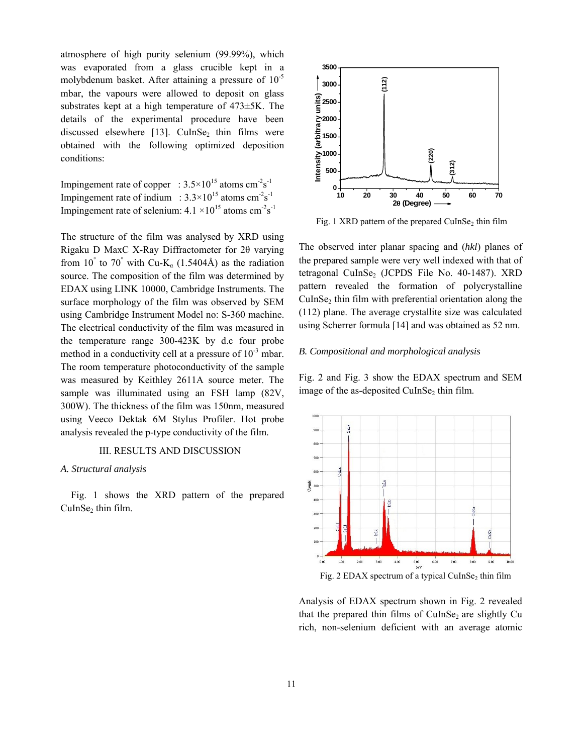atmosphere of high purity selenium (99.99%), which was evaporated from a glass crucible kept in a molybdenum basket. After attaining a pressure of  $10^{-5}$ mbar, the vapours were allowed to deposit on glass substrates kept at a high temperature of 473±5K. The details of the experimental procedure have been discussed elsewhere  $[13]$ . CuInSe<sub>2</sub> thin films were obtained with the following optimized deposition conditions:

Impingement rate of copper :  $3.5 \times 10^{15}$  atoms cm<sup>-2</sup>s<sup>-1</sup> Impingement rate of indium :  $3.3 \times 10^{15}$  atoms cm<sup>-2</sup>s<sup>-1</sup> Impingement rate of selenium:  $4.1 \times 10^{15}$  atoms cm<sup>-2</sup>s<sup>-1</sup>

The structure of the film was analysed by XRD using Rigaku D MaxC X-Ray Diffractometer for 2θ varying from 10° to 70° with Cu-K<sub>a</sub> (1.5404Å) as the radiation source. The composition of the film was determined by EDAX using LINK 10000, Cambridge Instruments. The surface morphology of the film was observed by SEM using Cambridge Instrument Model no: S-360 machine. The electrical conductivity of the film was measured in the temperature range 300-423K by d.c four probe method in a conductivity cell at a pressure of  $10^{-3}$  mbar. The room temperature photoconductivity of the sample was measured by Keithley 2611A source meter. The sample was illuminated using an FSH lamp (82V, 300W). The thickness of the film was 150nm, measured using Veeco Dektak 6M Stylus Profiler. Hot probe analysis revealed the p-type conductivity of the film.

## III. RESULTS AND DISCUSSION

#### *A. Structural analysis*

Fig. 1 shows the XRD pattern of the prepared CuInSe<sub>2</sub> thin film.



Fig. 1 XRD pattern of the prepared  $CuInSe<sub>2</sub>$  thin film

The observed inter planar spacing and (*hkl*) planes of the prepared sample were very well indexed with that of tetragonal CuInSe<sub>2</sub> (JCPDS File No. 40-1487). XRD pattern revealed the formation of polycrystalline  $CuInSe<sub>2</sub>$  thin film with preferential orientation along the (112) plane. The average crystallite size was calculated using Scherrer formula [14] and was obtained as 52 nm.

#### *B. Compositional and morphological analysis*

Fig. 2 and Fig. 3 show the EDAX spectrum and SEM image of the as-deposited CuInSe<sub>2</sub> thin film.



Fig. 2 EDAX spectrum of a typical CuInSe<sub>2</sub> thin film

Analysis of EDAX spectrum shown in Fig. 2 revealed that the prepared thin films of  $CuInSe<sub>2</sub>$  are slightly Cu rich, non-selenium deficient with an average atomic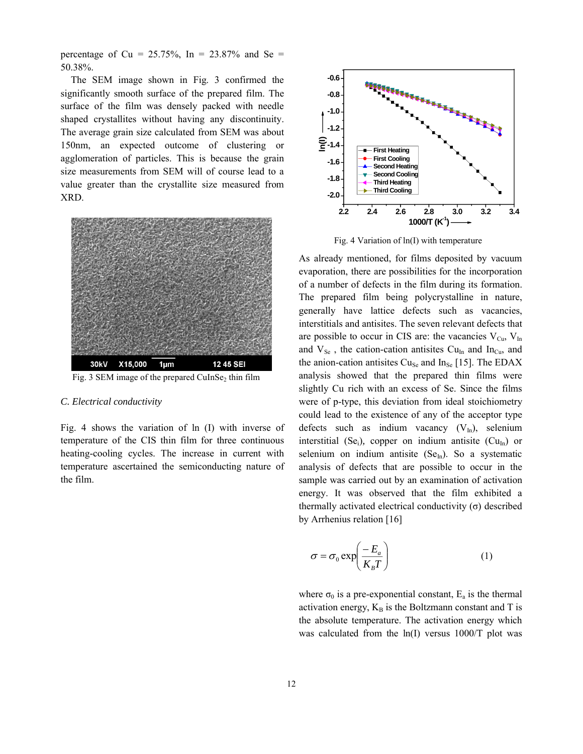percentage of Cu =  $25.75\%$ , In =  $23.87\%$  and Se = 50.38%.

The SEM image shown in Fig. 3 confirmed the significantly smooth surface of the prepared film. The surface of the film was densely packed with needle shaped crystallites without having any discontinuity. The average grain size calculated from SEM was about 150nm, an expected outcome of clustering or agglomeration of particles. This is because the grain size measurements from SEM will of course lead to a value greater than the crystallite size measured from XRD.



## *C. Electrical conductivity*

Fig. 4 shows the variation of ln (I) with inverse of temperature of the CIS thin film for three continuous heating-cooling cycles. The increase in current with temperature ascertained the semiconducting nature of the film.



Fig. 4 Variation of ln(I) with temperature

As already mentioned, for films deposited by vacuum evaporation, there are possibilities for the incorporation of a number of defects in the film during its formation. The prepared film being polycrystalline in nature, generally have lattice defects such as vacancies, interstitials and antisites. The seven relevant defects that are possible to occur in CIS are: the vacancies  $V_{Cu}$ ,  $V_{In}$ and  $V_{\text{Se}}$ , the cation-cation antisites Cu<sub>In</sub> and In<sub>Cu</sub>, and the anion-cation antisites  $Cu_{Se}$  and  $In_{Se}$  [15]. The EDAX analysis showed that the prepared thin films were slightly Cu rich with an excess of Se. Since the films were of p-type, this deviation from ideal stoichiometry could lead to the existence of any of the acceptor type defects such as indium vacancy  $(V_{In})$ , selenium interstitial (Se<sub>i</sub>), copper on indium antisite ( $Cu<sub>In</sub>$ ) or selenium on indium antisite  $(Se<sub>In</sub>)$ . So a systematic analysis of defects that are possible to occur in the sample was carried out by an examination of activation energy. It was observed that the film exhibited a thermally activated electrical conductivity  $(σ)$  described by Arrhenius relation [16]

$$
\sigma = \sigma_0 \exp\left(\frac{-E_a}{K_B T}\right) \tag{1}
$$

where  $\sigma_0$  is a pre-exponential constant,  $E_a$  is the thermal activation energy,  $K_B$  is the Boltzmann constant and T is the absolute temperature. The activation energy which was calculated from the ln(I) versus 1000/T plot was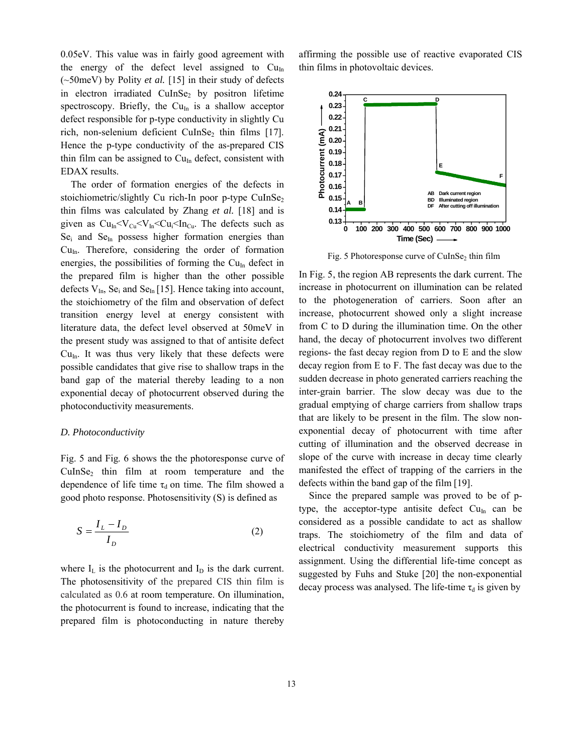0.05eV. This value was in fairly good agreement with the energy of the defect level assigned to  $Cu<sub>In</sub>$ (~50meV) by Polity *et al.* [15] in their study of defects in electron irradiated CuInSe<sub>2</sub> by positron lifetime spectroscopy. Briefly, the  $Cu<sub>In</sub>$  is a shallow acceptor defect responsible for p-type conductivity in slightly Cu rich, non-selenium deficient CuInSe<sub>2</sub> thin films [17]. Hence the p-type conductivity of the as-prepared CIS thin film can be assigned to  $Cu<sub>In</sub>$  defect, consistent with EDAX results.

The order of formation energies of the defects in stoichiometric/slightly Cu rich-In poor p-type CuInSe<sub>2</sub> thin films was calculated by Zhang *et al.* [18] and is given as  $Cu<sub>In</sub> < V<sub>Cu</sub> < V<sub>In</sub> < Cu<sub>i</sub> < In<sub>Cu</sub>$ . The defects such as $Se<sub>i</sub>$  and  $Se<sub>In</sub>$  possess higher formation energies than  $Cu<sub>In</sub>$ . Therefore, considering the order of formation energies, the possibilities of forming the  $Cu<sub>In</sub>$  defect in the prepared film is higher than the other possible defects  $V_{In}$ , Se<sub>i</sub> and Se<sub>In</sub> [15]. Hence taking into account, the stoichiometry of the film and observation of defect transition energy level at energy consistent with literature data, the defect level observed at 50meV in the present study was assigned to that of antisite defect  $Cu<sub>In</sub>$ . It was thus very likely that these defects were possible candidates that give rise to shallow traps in the band gap of the material thereby leading to a non exponential decay of photocurrent observed during the photoconductivity measurements.

# *D. Photoconductivity*

Fig. 5 and Fig. 6 shows the the photoresponse curve of CuInSe2 thin film at room temperature and the dependence of life time  $\tau_d$  on time. The film showed a good photo response. Photosensitivity (S) is defined as

$$
S = \frac{I_L - I_D}{I_D} \tag{2}
$$

where  $I_L$  is the photocurrent and  $I_D$  is the dark current. The photosensitivity of the prepared CIS thin film is calculated as 0.6 at room temperature. On illumination, the photocurrent is found to increase, indicating that the prepared film is photoconducting in nature thereby affirming the possible use of reactive evaporated CIS thin films in photovoltaic devices.



Fig. 5 Photoresponse curve of CuInSe<sub>2</sub> thin film

In Fig. 5, the region AB represents the dark current. The increase in photocurrent on illumination can be related to the photogeneration of carriers. Soon after an increase, photocurrent showed only a slight increase from C to D during the illumination time. On the other hand, the decay of photocurrent involves two different regions- the fast decay region from D to E and the slow decay region from E to F. The fast decay was due to the sudden decrease in photo generated carriers reaching the inter-grain barrier. The slow decay was due to the gradual emptying of charge carriers from shallow traps that are likely to be present in the film. The slow nonexponential decay of photocurrent with time after cutting of illumination and the observed decrease in slope of the curve with increase in decay time clearly manifested the effect of trapping of the carriers in the defects within the band gap of the film [19].

Since the prepared sample was proved to be of ptype, the acceptor-type antisite defect  $Cu<sub>In</sub>$  can be considered as a possible candidate to act as shallow traps. The stoichiometry of the film and data of electrical conductivity measurement supports this assignment. Using the differential life-time concept as suggested by Fuhs and Stuke [20] the non-exponential decay process was analysed. The life-time  $\tau_d$  is given by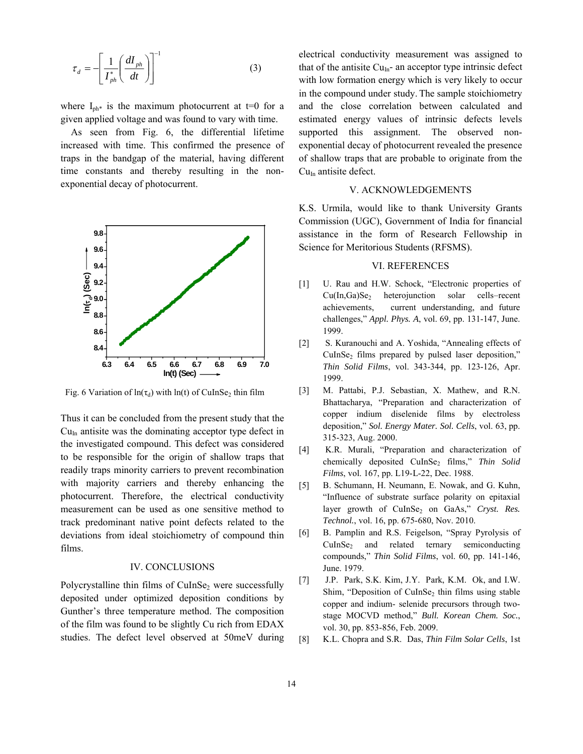$$
\tau_d = -\left[\frac{1}{I_{ph}^*} \left(\frac{dI_{ph}}{dt}\right)\right]^{-1} \tag{3}
$$

where  $I_{ph*}$  is the maximum photocurrent at t=0 for a given applied voltage and was found to vary with time.

As seen from Fig. 6, the differential lifetime increased with time. This confirmed the presence of traps in the bandgap of the material, having different time constants and thereby resulting in the nonexponential decay of photocurrent.



Fig. 6 Variation of  $ln(\tau_d)$  with  $ln(t)$  of CuInSe<sub>2</sub> thin film

Thus it can be concluded from the present study that the  $Cu<sub>In</sub>$  antisite was the dominating acceptor type defect in the investigated compound. This defect was considered to be responsible for the origin of shallow traps that readily traps minority carriers to prevent recombination with majority carriers and thereby enhancing the photocurrent. Therefore, the electrical conductivity measurement can be used as one sensitive method to track predominant native point defects related to the deviations from ideal stoichiometry of compound thin films.

# IV. CONCLUSIONS

Polycrystalline thin films of CuInSe<sub>2</sub> were successfully deposited under optimized deposition conditions by Gunther's three temperature method. The composition of the film was found to be slightly Cu rich from EDAX studies. The defect level observed at 50meV during electrical conductivity measurement was assigned to that of the antisite  $Cu<sub>In</sub>$ - an acceptor type intrinsic defect with low formation energy which is very likely to occur in the compound under study. The sample stoichiometry and the close correlation between calculated and estimated energy values of intrinsic defects levels supported this assignment. The observed nonexponential decay of photocurrent revealed the presence of shallow traps that are probable to originate from the  $Cu<sub>In</sub>$  antisite defect.

# V. ACKNOWLEDGEMENTS

K.S. Urmila, would like to thank University Grants Commission (UGC), Government of India for financial assistance in the form of Research Fellowship in Science for Meritorious Students (RFSMS).

# VI. REFERENCES

- [1] U. Rau and H.W. Schock, "Electronic properties of  $Cu(In, Ga)Se<sub>2</sub>$  heterojunction solar cells–recent achievements, current understanding, and future challenges," *Appl. Phys. A*, vol. 69, pp. 131-147, June. 1999.
- [2] S. Kuranouchi and A. Yoshida, "Annealing effects of  $CuInSe<sub>2</sub>$  films prepared by pulsed laser deposition," *Thin Solid Films*, vol. 343-344, pp. 123-126, Apr. 1999.
- [3] M. Pattabi, P.J. Sebastian, X. Mathew, and R.N. Bhattacharya, "Preparation and characterization of copper indium diselenide films by electroless deposition," *Sol. Energy Mater. Sol. Cells*, vol. 63, pp. 315-323, Aug. 2000.
- [4] K.R. Murali, "Preparation and characterization of chemically deposited CuInSe<sub>2</sub> films," *Thin Solid Films*, vol. 167, pp. L19-L-22, Dec. 1988.
- [5] B. Schumann, H. Neumann, E. Nowak, and G. Kuhn, "Influence of substrate surface polarity on epitaxial layer growth of CuInSe<sub>2</sub> on GaAs," *Cryst. Res. Technol.*, vol. 16, pp. 675-680, Nov. 2010.
- [6] B. Pamplin and R.S. Feigelson, "Spray Pyrolysis of CuInSe<sub>2</sub> and related ternary semiconducting compounds," *Thin Solid Films*, vol. 60, pp. 141-146, June. 1979.
- [7] J.P. Park, S.K. Kim, J.Y. Park, K.M. Ok, and I.W. Shim, "Deposition of CuInSe<sub>2</sub> thin films using stable copper and indium- selenide precursors through twostage MOCVD method," *Bull. Korean Chem. Soc.*, vol. 30, pp. 853-856, Feb. 2009.
- [8] K.L. Chopra and S.R. Das, *Thin Film Solar Cells*, 1st